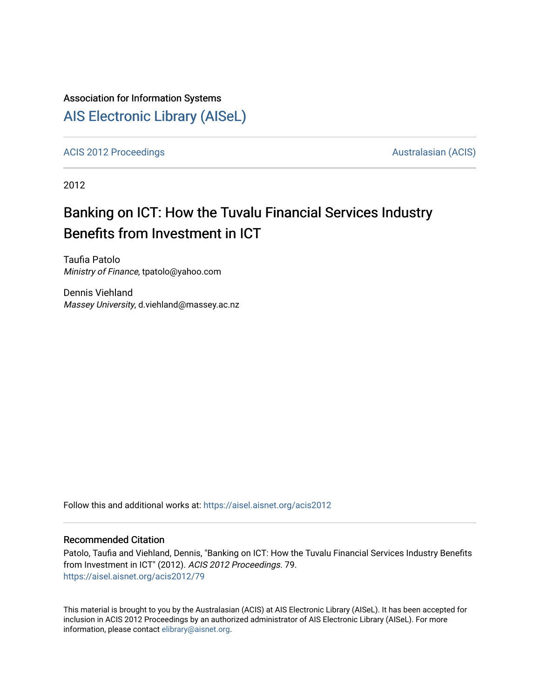## Association for Information Systems

## [AIS Electronic Library \(AISeL\)](https://aisel.aisnet.org/)

[ACIS 2012 Proceedings](https://aisel.aisnet.org/acis2012) **AUSTRALIA CIS** Australasian (ACIS)

2012

# Banking on ICT: How the Tuvalu Financial Services Industry Benefits from Investment in ICT

Taufia Patolo Ministry of Finance, tpatolo@yahoo.com

Dennis Viehland Massey University, d.viehland@massey.ac.nz

Follow this and additional works at: [https://aisel.aisnet.org/acis2012](https://aisel.aisnet.org/acis2012?utm_source=aisel.aisnet.org%2Facis2012%2F79&utm_medium=PDF&utm_campaign=PDFCoverPages) 

#### Recommended Citation

Patolo, Taufia and Viehland, Dennis, "Banking on ICT: How the Tuvalu Financial Services Industry Benefits from Investment in ICT" (2012). ACIS 2012 Proceedings. 79. [https://aisel.aisnet.org/acis2012/79](https://aisel.aisnet.org/acis2012/79?utm_source=aisel.aisnet.org%2Facis2012%2F79&utm_medium=PDF&utm_campaign=PDFCoverPages)

This material is brought to you by the Australasian (ACIS) at AIS Electronic Library (AISeL). It has been accepted for inclusion in ACIS 2012 Proceedings by an authorized administrator of AIS Electronic Library (AISeL). For more information, please contact [elibrary@aisnet.org.](mailto:elibrary@aisnet.org%3E)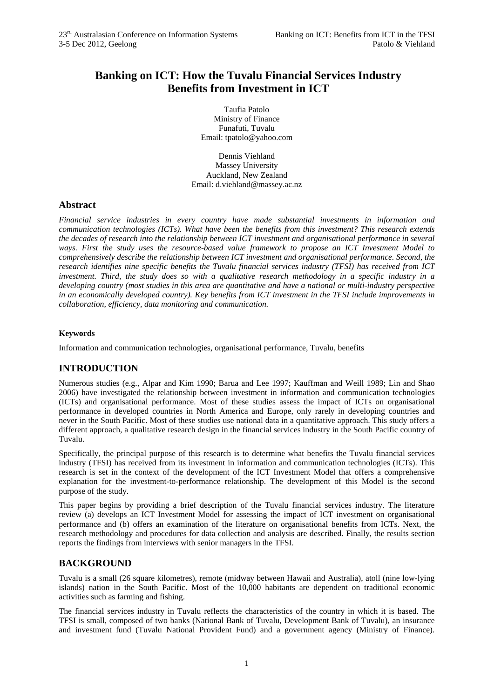## **Banking on ICT: How the Tuvalu Financial Services Industry Benefits from Investment in ICT**

Taufia Patolo Ministry of Finance Funafuti, Tuvalu Email: tpatolo@yahoo.com

Dennis Viehland Massey University Auckland, New Zealand Email: d.viehland@massey.ac.nz

#### **Abstract**

*Financial service industries in every country have made substantial investments in information and communication technologies (ICTs). What have been the benefits from this investment? This research extends the decades of research into the relationship between ICT investment and organisational performance in several ways. First the study uses the resource-based value framework to propose an ICT Investment Model to comprehensively describe the relationship between ICT investment and organisational performance. Second, the research identifies nine specific benefits the Tuvalu financial services industry (TFSI) has received from ICT investment. Third, the study does so with a qualitative research methodology in a specific industry in a developing country (most studies in this area are quantitative and have a national or multi-industry perspective in an economically developed country). Key benefits from ICT investment in the TFSI include improvements in collaboration, efficiency, data monitoring and communication.* 

#### **Keywords**

Information and communication technologies, organisational performance, Tuvalu, benefits

## **INTRODUCTION**

Numerous studies (e.g., Alpar and Kim 1990; Barua and Lee 1997; Kauffman and Weill 1989; Lin and Shao 2006) have investigated the relationship between investment in information and communication technologies (ICTs) and organisational performance. Most of these studies assess the impact of ICTs on organisational performance in developed countries in North America and Europe, only rarely in developing countries and never in the South Pacific. Most of these studies use national data in a quantitative approach. This study offers a different approach, a qualitative research design in the financial services industry in the South Pacific country of Tuvalu.

Specifically, the principal purpose of this research is to determine what benefits the Tuvalu financial services industry (TFSI) has received from its investment in information and communication technologies (ICTs). This research is set in the context of the development of the ICT Investment Model that offers a comprehensive explanation for the investment-to-performance relationship. The development of this Model is the second purpose of the study.

This paper begins by providing a brief description of the Tuvalu financial services industry. The literature review (a) develops an ICT Investment Model for assessing the impact of ICT investment on organisational performance and (b) offers an examination of the literature on organisational benefits from ICTs. Next, the research methodology and procedures for data collection and analysis are described. Finally, the results section reports the findings from interviews with senior managers in the TFSI.

## **BACKGROUND**

Tuvalu is a small (26 square kilometres), remote (midway between Hawaii and Australia), atoll (nine low-lying islands) nation in the South Pacific. Most of the 10,000 habitants are dependent on traditional economic activities such as farming and fishing.

The financial services industry in Tuvalu reflects the characteristics of the country in which it is based. The TFSI is small, composed of two banks (National Bank of Tuvalu, Development Bank of Tuvalu), an insurance and investment fund (Tuvalu National Provident Fund) and a government agency (Ministry of Finance).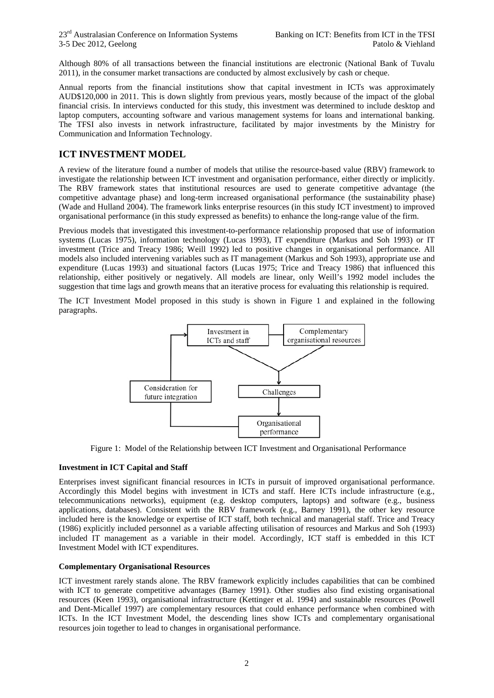Although 80% of all transactions between the financial institutions are electronic (National Bank of Tuvalu 2011), in the consumer market transactions are conducted by almost exclusively by cash or cheque.

Annual reports from the financial institutions show that capital investment in ICTs was approximately AUD\$120,000 in 2011. This is down slightly from previous years, mostly because of the impact of the global financial crisis. In interviews conducted for this study, this investment was determined to include desktop and laptop computers, accounting software and various management systems for loans and international banking. The TFSI also invests in network infrastructure, facilitated by major investments by the Ministry for Communication and Information Technology.

## **ICT INVESTMENT MODEL**

A review of the literature found a number of models that utilise the resource-based value (RBV) framework to investigate the relationship between ICT investment and organisation performance, either directly or implicitly. The RBV framework states that institutional resources are used to generate competitive advantage (the competitive advantage phase) and long-term increased organisational performance (the sustainability phase) (Wade and Hulland 2004). The framework links enterprise resources (in this study ICT investment) to improved organisational performance (in this study expressed as benefits) to enhance the long-range value of the firm.

Previous models that investigated this investment-to-performance relationship proposed that use of information systems (Lucas 1975), information technology (Lucas 1993), IT expenditure (Markus and Soh 1993) or IT investment (Trice and Treacy 1986; Weill 1992) led to positive changes in organisational performance. All models also included intervening variables such as IT management (Markus and Soh 1993), appropriate use and expenditure (Lucas 1993) and situational factors (Lucas 1975; Trice and Treacy 1986) that influenced this relationship, either positively or negatively. All models are linear, only Weill's 1992 model includes the suggestion that time lags and growth means that an iterative process for evaluating this relationship is required.

The ICT Investment Model proposed in this study is shown in Figure 1 and explained in the following paragraphs.



Figure 1: Model of the Relationship between ICT Investment and Organisational Performance

#### **Investment in ICT Capital and Staff**

Enterprises invest significant financial resources in ICTs in pursuit of improved organisational performance. Accordingly this Model begins with investment in ICTs and staff. Here ICTs include infrastructure (e.g., telecommunications networks), equipment (e.g. desktop computers, laptops) and software (e.g., business applications, databases). Consistent with the RBV framework (e.g., Barney 1991), the other key resource included here is the knowledge or expertise of ICT staff, both technical and managerial staff. Trice and Treacy (1986) explicitly included personnel as a variable affecting utilisation of resources and Markus and Soh (1993) included IT management as a variable in their model. Accordingly, ICT staff is embedded in this ICT Investment Model with ICT expenditures.

#### **Complementary Organisational Resources**

ICT investment rarely stands alone. The RBV framework explicitly includes capabilities that can be combined with ICT to generate competitive advantages (Barney 1991). Other studies also find existing organisational resources (Keen 1993), organisational infrastructure (Kettinger et al. 1994) and sustainable resources (Powell and Dent-Micallef 1997) are complementary resources that could enhance performance when combined with ICTs. In the ICT Investment Model, the descending lines show ICTs and complementary organisational resources join together to lead to changes in organisational performance.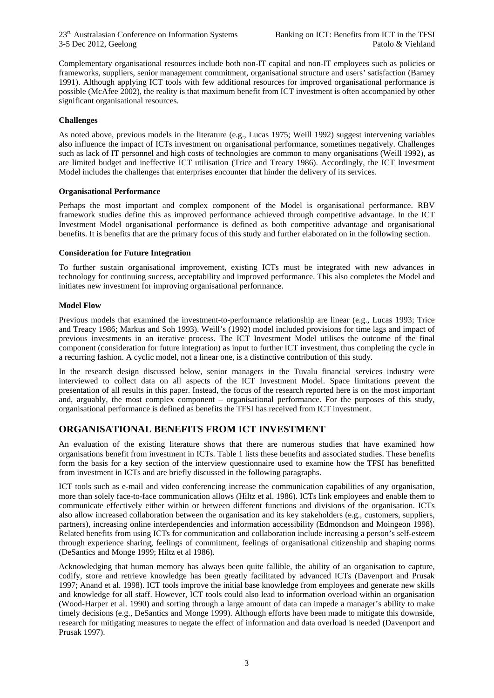Complementary organisational resources include both non-IT capital and non-IT employees such as policies or frameworks, suppliers, senior management commitment, organisational structure and users' satisfaction (Barney 1991). Although applying ICT tools with few additional resources for improved organisational performance is possible (McAfee 2002), the reality is that maximum benefit from ICT investment is often accompanied by other significant organisational resources.

#### **Challenges**

As noted above, previous models in the literature (e.g., Lucas 1975; Weill 1992) suggest intervening variables also influence the impact of ICTs investment on organisational performance, sometimes negatively. Challenges such as lack of IT personnel and high costs of technologies are common to many organisations (Weill 1992), as are limited budget and ineffective ICT utilisation (Trice and Treacy 1986). Accordingly, the ICT Investment Model includes the challenges that enterprises encounter that hinder the delivery of its services.

#### **Organisational Performance**

Perhaps the most important and complex component of the Model is organisational performance. RBV framework studies define this as improved performance achieved through competitive advantage. In the ICT Investment Model organisational performance is defined as both competitive advantage and organisational benefits. It is benefits that are the primary focus of this study and further elaborated on in the following section.

#### **Consideration for Future Integration**

To further sustain organisational improvement, existing ICTs must be integrated with new advances in technology for continuing success, acceptability and improved performance. This also completes the Model and initiates new investment for improving organisational performance.

#### **Model Flow**

Previous models that examined the investment-to-performance relationship are linear (e.g., Lucas 1993; Trice and Treacy 1986; Markus and Soh 1993). Weill's (1992) model included provisions for time lags and impact of previous investments in an iterative process. The ICT Investment Model utilises the outcome of the final component (consideration for future integration) as input to further ICT investment, thus completing the cycle in a recurring fashion. A cyclic model, not a linear one, is a distinctive contribution of this study.

In the research design discussed below, senior managers in the Tuvalu financial services industry were interviewed to collect data on all aspects of the ICT Investment Model. Space limitations prevent the presentation of all results in this paper. Instead, the focus of the research reported here is on the most important and, arguably, the most complex component – organisational performance. For the purposes of this study, organisational performance is defined as benefits the TFSI has received from ICT investment.

## **ORGANISATIONAL BENEFITS FROM ICT INVESTMENT**

An evaluation of the existing literature shows that there are numerous studies that have examined how organisations benefit from investment in ICTs. Table 1 lists these benefits and associated studies. These benefits form the basis for a key section of the interview questionnaire used to examine how the TFSI has benefitted from investment in ICTs and are briefly discussed in the following paragraphs.

ICT tools such as e-mail and video conferencing increase the communication capabilities of any organisation, more than solely face-to-face communication allows (Hiltz et al. 1986). ICTs link employees and enable them to communicate effectively either within or between different functions and divisions of the organisation. ICTs also allow increased collaboration between the organisation and its key stakeholders (e.g., customers, suppliers, partners), increasing online interdependencies and information accessibility (Edmondson and Moingeon 1998). Related benefits from using ICTs for communication and collaboration include increasing a person's self-esteem through experience sharing, feelings of commitment, feelings of organisational citizenship and shaping norms (DeSantics and Monge 1999; Hiltz et al 1986).

Acknowledging that human memory has always been quite fallible, the ability of an organisation to capture, codify, store and retrieve knowledge has been greatly facilitated by advanced ICTs (Davenport and Prusak 1997; Anand et al. 1998). ICT tools improve the initial base knowledge from employees and generate new skills and knowledge for all staff. However, ICT tools could also lead to information overload within an organisation (Wood-Harper et al. 1990) and sorting through a large amount of data can impede a manager's ability to make timely decisions (e.g., DeSantics and Monge 1999). Although efforts have been made to mitigate this downside, research for mitigating measures to negate the effect of information and data overload is needed (Davenport and Prusak 1997).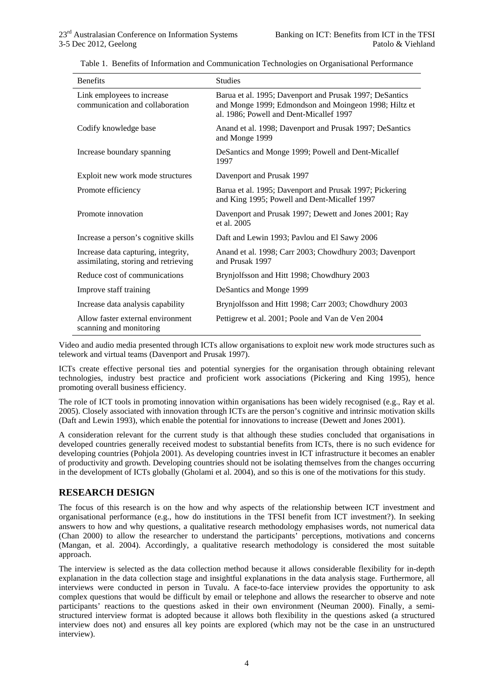| <b>Benefits</b>                                                             | <b>Studies</b>                                                                                                                                              |
|-----------------------------------------------------------------------------|-------------------------------------------------------------------------------------------------------------------------------------------------------------|
| Link employees to increase<br>communication and collaboration               | Barua et al. 1995; Davenport and Prusak 1997; DeSantics<br>and Monge 1999; Edmondson and Moingeon 1998; Hiltz et<br>al. 1986; Powell and Dent-Micallef 1997 |
| Codify knowledge base                                                       | Anand et al. 1998; Davenport and Prusak 1997; DeSantics<br>and Monge 1999                                                                                   |
| Increase boundary spanning                                                  | DeSantics and Monge 1999; Powell and Dent-Micallef<br>1997                                                                                                  |
| Exploit new work mode structures                                            | Davenport and Prusak 1997                                                                                                                                   |
| Promote efficiency                                                          | Barua et al. 1995; Davenport and Prusak 1997; Pickering<br>and King 1995; Powell and Dent-Micallef 1997                                                     |
| Promote innovation                                                          | Davenport and Prusak 1997; Dewett and Jones 2001; Ray<br>et al. 2005                                                                                        |
| Increase a person's cognitive skills                                        | Daft and Lewin 1993; Pavlou and El Sawy 2006                                                                                                                |
| Increase data capturing, integrity,<br>assimilating, storing and retrieving | Anand et al. 1998; Carr 2003; Chowdhury 2003; Davenport<br>and Prusak 1997                                                                                  |
| Reduce cost of communications                                               | Brynjolfsson and Hitt 1998; Chowdhury 2003                                                                                                                  |
| Improve staff training                                                      | DeSantics and Monge 1999                                                                                                                                    |
| Increase data analysis capability                                           | Brynjolfsson and Hitt 1998; Carr 2003; Chowdhury 2003                                                                                                       |
| Allow faster external environment<br>scanning and monitoring                | Pettigrew et al. 2001; Poole and Van de Ven 2004                                                                                                            |

Table 1. Benefits of Information and Communication Technologies on Organisational Performance

Video and audio media presented through ICTs allow organisations to exploit new work mode structures such as telework and virtual teams (Davenport and Prusak 1997).

ICTs create effective personal ties and potential synergies for the organisation through obtaining relevant technologies, industry best practice and proficient work associations (Pickering and King 1995), hence promoting overall business efficiency.

The role of ICT tools in promoting innovation within organisations has been widely recognised (e.g., Ray et al. 2005). Closely associated with innovation through ICTs are the person's cognitive and intrinsic motivation skills (Daft and Lewin 1993), which enable the potential for innovations to increase (Dewett and Jones 2001).

A consideration relevant for the current study is that although these studies concluded that organisations in developed countries generally received modest to substantial benefits from ICTs, there is no such evidence for developing countries (Pohjola 2001). As developing countries invest in ICT infrastructure it becomes an enabler of productivity and growth. Developing countries should not be isolating themselves from the changes occurring in the development of ICTs globally (Gholami et al. 2004), and so this is one of the motivations for this study.

## **RESEARCH DESIGN**

The focus of this research is on the how and why aspects of the relationship between ICT investment and organisational performance (e.g., how do institutions in the TFSI benefit from ICT investment?). In seeking answers to how and why questions, a qualitative research methodology emphasises words, not numerical data (Chan 2000) to allow the researcher to understand the participants' perceptions, motivations and concerns (Mangan, et al. 2004). Accordingly, a qualitative research methodology is considered the most suitable approach.

The interview is selected as the data collection method because it allows considerable flexibility for in-depth explanation in the data collection stage and insightful explanations in the data analysis stage. Furthermore, all interviews were conducted in person in Tuvalu. A face-to-face interview provides the opportunity to ask complex questions that would be difficult by email or telephone and allows the researcher to observe and note participants' reactions to the questions asked in their own environment (Neuman 2000). Finally, a semistructured interview format is adopted because it allows both flexibility in the questions asked (a structured interview does not) and ensures all key points are explored (which may not be the case in an unstructured interview).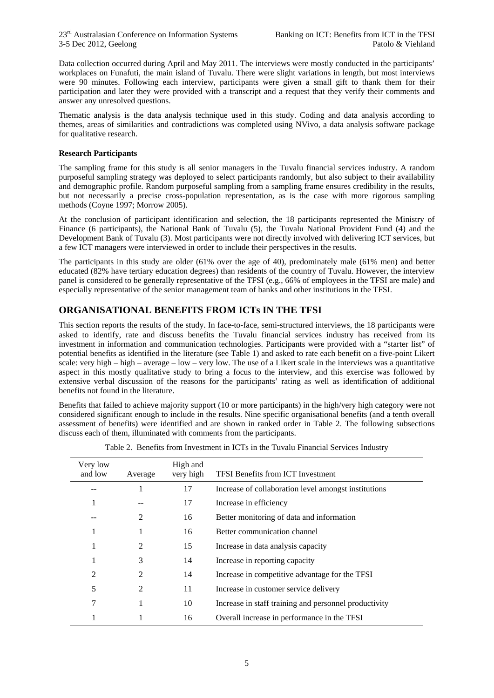Data collection occurred during April and May 2011. The interviews were mostly conducted in the participants' workplaces on Funafuti, the main island of Tuvalu. There were slight variations in length, but most interviews were 90 minutes. Following each interview, participants were given a small gift to thank them for their participation and later they were provided with a transcript and a request that they verify their comments and answer any unresolved questions.

Thematic analysis is the data analysis technique used in this study. Coding and data analysis according to themes, areas of similarities and contradictions was completed using NVivo, a data analysis software package for qualitative research.

#### **Research Participants**

The sampling frame for this study is all senior managers in the Tuvalu financial services industry. A random purposeful sampling strategy was deployed to select participants randomly, but also subject to their availability and demographic profile. Random purposeful sampling from a sampling frame ensures credibility in the results, but not necessarily a precise cross-population representation, as is the case with more rigorous sampling methods (Coyne 1997; Morrow 2005).

At the conclusion of participant identification and selection, the 18 participants represented the Ministry of Finance (6 participants), the National Bank of Tuvalu (5), the Tuvalu National Provident Fund (4) and the Development Bank of Tuvalu (3). Most participants were not directly involved with delivering ICT services, but a few ICT managers were interviewed in order to include their perspectives in the results.

The participants in this study are older (61% over the age of 40), predominately male (61% men) and better educated (82% have tertiary education degrees) than residents of the country of Tuvalu. However, the interview panel is considered to be generally representative of the TFSI (e.g., 66% of employees in the TFSI are male) and especially representative of the senior management team of banks and other institutions in the TFSI.

## **ORGANISATIONAL BENEFITS FROM ICTs IN THE TFSI**

This section reports the results of the study. In face-to-face, semi-structured interviews, the 18 participants were asked to identify, rate and discuss benefits the Tuvalu financial services industry has received from its investment in information and communication technologies. Participants were provided with a "starter list" of potential benefits as identified in the literature (see Table 1) and asked to rate each benefit on a five-point Likert scale: very high – high – average – low – very low. The use of a Likert scale in the interviews was a quantitative aspect in this mostly qualitative study to bring a focus to the interview, and this exercise was followed by extensive verbal discussion of the reasons for the participants' rating as well as identification of additional benefits not found in the literature.

Benefits that failed to achieve majority support (10 or more participants) in the high/very high category were not considered significant enough to include in the results. Nine specific organisational benefits (and a tenth overall assessment of benefits) were identified and are shown in ranked order in Table 2. The following subsections discuss each of them, illuminated with comments from the participants.

| Very low<br>and low | Average        | High and<br>very high | TFSI Benefits from ICT Investment                     |
|---------------------|----------------|-----------------------|-------------------------------------------------------|
|                     |                | 17                    | Increase of collaboration level amongst institutions  |
|                     |                | 17                    | Increase in efficiency                                |
|                     | $\mathfrak{D}$ | 16                    | Better monitoring of data and information             |
|                     |                | 16                    | Better communication channel                          |
| 1                   | 2              | 15                    | Increase in data analysis capacity                    |
| 1                   | 3              | 14                    | Increase in reporting capacity                        |
| 2                   | 2              | 14                    | Increase in competitive advantage for the TFSI        |
| 5                   | $\mathfrak{D}$ | 11                    | Increase in customer service delivery                 |
| 7                   |                | 10                    | Increase in staff training and personnel productivity |
|                     |                | 16                    | Overall increase in performance in the TFSI           |

Table 2. Benefits from Investment in ICTs in the Tuvalu Financial Services Industry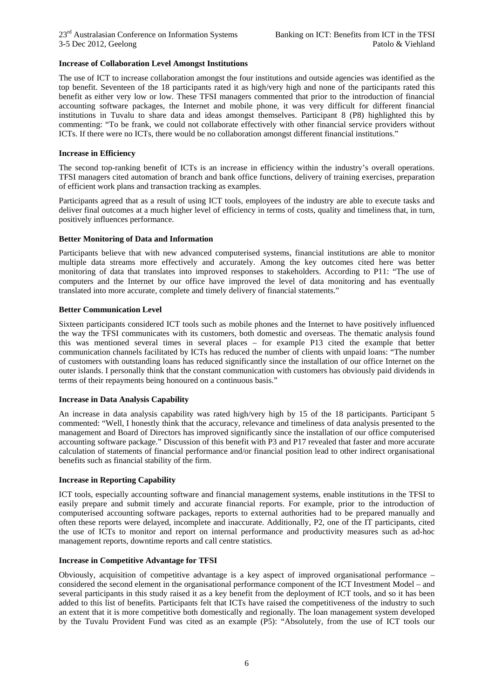#### **Increase of Collaboration Level Amongst Institutions**

The use of ICT to increase collaboration amongst the four institutions and outside agencies was identified as the top benefit. Seventeen of the 18 participants rated it as high/very high and none of the participants rated this benefit as either very low or low. These TFSI managers commented that prior to the introduction of financial accounting software packages, the Internet and mobile phone, it was very difficult for different financial institutions in Tuvalu to share data and ideas amongst themselves. Participant 8 (P8) highlighted this by commenting: "To be frank, we could not collaborate effectively with other financial service providers without ICTs. If there were no ICTs, there would be no collaboration amongst different financial institutions."

#### **Increase in Efficiency**

The second top-ranking benefit of ICTs is an increase in efficiency within the industry's overall operations. TFSI managers cited automation of branch and bank office functions, delivery of training exercises, preparation of efficient work plans and transaction tracking as examples.

Participants agreed that as a result of using ICT tools, employees of the industry are able to execute tasks and deliver final outcomes at a much higher level of efficiency in terms of costs, quality and timeliness that, in turn, positively influences performance.

#### **Better Monitoring of Data and Information**

Participants believe that with new advanced computerised systems, financial institutions are able to monitor multiple data streams more effectively and accurately. Among the key outcomes cited here was better monitoring of data that translates into improved responses to stakeholders. According to P11: "The use of computers and the Internet by our office have improved the level of data monitoring and has eventually translated into more accurate, complete and timely delivery of financial statements."

#### **Better Communication Level**

Sixteen participants considered ICT tools such as mobile phones and the Internet to have positively influenced the way the TFSI communicates with its customers, both domestic and overseas. The thematic analysis found this was mentioned several times in several places – for example P13 cited the example that better communication channels facilitated by ICTs has reduced the number of clients with unpaid loans: "The number of customers with outstanding loans has reduced significantly since the installation of our office Internet on the outer islands. I personally think that the constant communication with customers has obviously paid dividends in terms of their repayments being honoured on a continuous basis."

#### **Increase in Data Analysis Capability**

An increase in data analysis capability was rated high/very high by 15 of the 18 participants. Participant 5 commented: "Well, I honestly think that the accuracy, relevance and timeliness of data analysis presented to the management and Board of Directors has improved significantly since the installation of our office computerised accounting software package." Discussion of this benefit with P3 and P17 revealed that faster and more accurate calculation of statements of financial performance and/or financial position lead to other indirect organisational benefits such as financial stability of the firm.

#### **Increase in Reporting Capability**

ICT tools, especially accounting software and financial management systems, enable institutions in the TFSI to easily prepare and submit timely and accurate financial reports. For example, prior to the introduction of computerised accounting software packages, reports to external authorities had to be prepared manually and often these reports were delayed, incomplete and inaccurate. Additionally, P2, one of the IT participants, cited the use of ICTs to monitor and report on internal performance and productivity measures such as ad-hoc management reports, downtime reports and call centre statistics.

#### **Increase in Competitive Advantage for TFSI**

Obviously, acquisition of competitive advantage is a key aspect of improved organisational performance – considered the second element in the organisational performance component of the ICT Investment Model – and several participants in this study raised it as a key benefit from the deployment of ICT tools, and so it has been added to this list of benefits. Participants felt that ICTs have raised the competitiveness of the industry to such an extent that it is more competitive both domestically and regionally. The loan management system developed by the Tuvalu Provident Fund was cited as an example (P5): "Absolutely, from the use of ICT tools our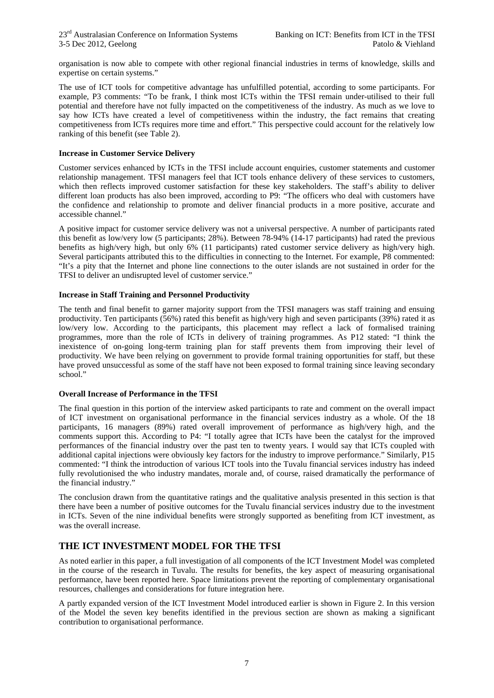organisation is now able to compete with other regional financial industries in terms of knowledge, skills and expertise on certain systems."

The use of ICT tools for competitive advantage has unfulfilled potential, according to some participants. For example, P3 comments: "To be frank, I think most ICTs within the TFSI remain under-utilised to their full potential and therefore have not fully impacted on the competitiveness of the industry. As much as we love to say how ICTs have created a level of competitiveness within the industry, the fact remains that creating competitiveness from ICTs requires more time and effort." This perspective could account for the relatively low ranking of this benefit (see Table 2).

#### **Increase in Customer Service Delivery**

Customer services enhanced by ICTs in the TFSI include account enquiries, customer statements and customer relationship management. TFSI managers feel that ICT tools enhance delivery of these services to customers, which then reflects improved customer satisfaction for these key stakeholders. The staff's ability to deliver different loan products has also been improved, according to P9: "The officers who deal with customers have the confidence and relationship to promote and deliver financial products in a more positive, accurate and accessible channel."

A positive impact for customer service delivery was not a universal perspective. A number of participants rated this benefit as low/very low (5 participants; 28%). Between 78-94% (14-17 participants) had rated the previous benefits as high/very high, but only 6% (11 participants) rated customer service delivery as high/very high. Several participants attributed this to the difficulties in connecting to the Internet. For example, P8 commented: "It's a pity that the Internet and phone line connections to the outer islands are not sustained in order for the TFSI to deliver an undisrupted level of customer service."

#### **Increase in Staff Training and Personnel Productivity**

The tenth and final benefit to garner majority support from the TFSI managers was staff training and ensuing productivity. Ten participants (56%) rated this benefit as high/very high and seven participants (39%) rated it as low/very low. According to the participants, this placement may reflect a lack of formalised training programmes, more than the role of ICTs in delivery of training programmes. As P12 stated: "I think the inexistence of on-going long-term training plan for staff prevents them from improving their level of productivity. We have been relying on government to provide formal training opportunities for staff, but these have proved unsuccessful as some of the staff have not been exposed to formal training since leaving secondary school."

#### **Overall Increase of Performance in the TFSI**

The final question in this portion of the interview asked participants to rate and comment on the overall impact of ICT investment on organisational performance in the financial services industry as a whole. Of the 18 participants, 16 managers (89%) rated overall improvement of performance as high/very high, and the comments support this. According to P4: "I totally agree that ICTs have been the catalyst for the improved performances of the financial industry over the past ten to twenty years. I would say that ICTs coupled with additional capital injections were obviously key factors for the industry to improve performance." Similarly, P15 commented: "I think the introduction of various ICT tools into the Tuvalu financial services industry has indeed fully revolutionised the who industry mandates, morale and, of course, raised dramatically the performance of the financial industry."

The conclusion drawn from the quantitative ratings and the qualitative analysis presented in this section is that there have been a number of positive outcomes for the Tuvalu financial services industry due to the investment in ICTs. Seven of the nine individual benefits were strongly supported as benefiting from ICT investment, as was the overall increase.

## **THE ICT INVESTMENT MODEL FOR THE TFSI**

As noted earlier in this paper, a full investigation of all components of the ICT Investment Model was completed in the course of the research in Tuvalu. The results for benefits, the key aspect of measuring organisational performance, have been reported here. Space limitations prevent the reporting of complementary organisational resources, challenges and considerations for future integration here.

A partly expanded version of the ICT Investment Model introduced earlier is shown in Figure 2. In this version of the Model the seven key benefits identified in the previous section are shown as making a significant contribution to organisational performance.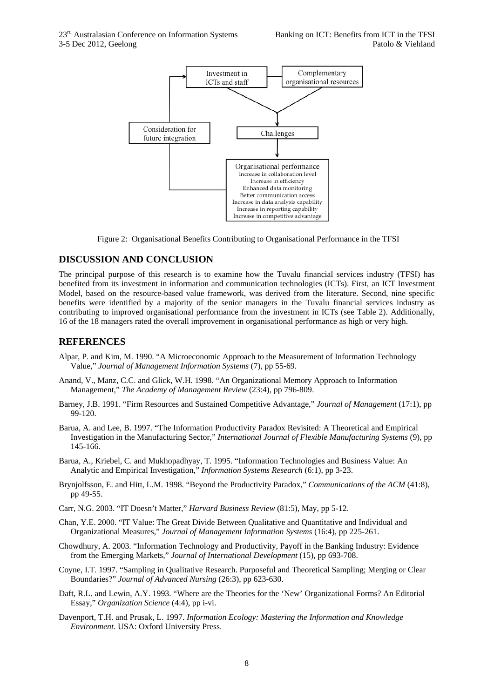

Figure 2: Organisational Benefits Contributing to Organisational Performance in the TFSI

#### **DISCUSSION AND CONCLUSION**

The principal purpose of this research is to examine how the Tuvalu financial services industry (TFSI) has benefited from its investment in information and communication technologies (ICTs). First, an ICT Investment Model, based on the resource-based value framework, was derived from the literature. Second, nine specific benefits were identified by a majority of the senior managers in the Tuvalu financial services industry as contributing to improved organisational performance from the investment in ICTs (see Table 2). Additionally, 16 of the 18 managers rated the overall improvement in organisational performance as high or very high.

#### **REFERENCES**

- Alpar, P. and Kim, M. 1990. "A Microeconomic Approach to the Measurement of Information Technology Value," *Journal of Management Information Systems* (7), pp 55-69.
- Anand, V., Manz, C.C. and Glick, W.H. 1998. "An Organizational Memory Approach to Information Management," *The Academy of Management Review* (23:4), pp 796-809.
- Barney, J.B. 1991. "Firm Resources and Sustained Competitive Advantage," *Journal of Management* (17:1), pp 99-120.
- Barua, A. and Lee, B. 1997. "The Information Productivity Paradox Revisited: A Theoretical and Empirical Investigation in the Manufacturing Sector," *International Journal of Flexible Manufacturing Systems* (9), pp 145-166.
- Barua, A., Kriebel, C. and Mukhopadhyay, T. 1995. "Information Technologies and Business Value: An Analytic and Empirical Investigation," *Information Systems Research* (6:1), pp 3-23.
- Brynjolfsson, E. and Hitt, L.M. 1998. "Beyond the Productivity Paradox," *Communications of the ACM* (41:8), pp 49-55.
- Carr, N.G. 2003. "IT Doesn't Matter," *Harvard Business Review* (81:5), May, pp 5-12.
- Chan, Y.E. 2000. "IT Value: The Great Divide Between Qualitative and Quantitative and Individual and Organizational Measures," *Journal of Management Information Systems* (16:4), pp 225-261.
- Chowdhury, A. 2003. "Information Technology and Productivity, Payoff in the Banking Industry: Evidence from the Emerging Markets," *Journal of International Development* (15), pp 693-708.
- Coyne, I.T. 1997. "Sampling in Qualitative Research. Purposeful and Theoretical Sampling; Merging or Clear Boundaries?" *Journal of Advanced Nursing* (26:3), pp 623-630.
- Daft, R.L. and Lewin, A.Y. 1993. "Where are the Theories for the 'New' Organizational Forms? An Editorial Essay," *Organization Science* (4:4), pp i-vi.
- Davenport, T.H. and Prusak, L. 1997. *Information Ecology: Mastering the Information and Knowledge Environment.* USA: Oxford University Press.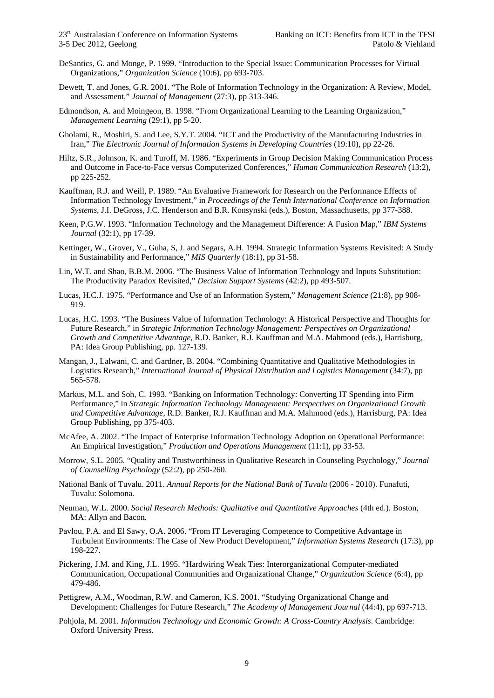- DeSantics, G. and Monge, P. 1999. "Introduction to the Special Issue: Communication Processes for Virtual Organizations," *Organization Science* (10:6), pp 693-703.
- Dewett, T. and Jones, G.R. 2001. "The Role of Information Technology in the Organization: A Review, Model, and Assessment," *Journal of Management* (27:3), pp 313-346.
- Edmondson, A. and Moingeon, B. 1998. "From Organizational Learning to the Learning Organization," *Management Learning* (29:1), pp 5-20.
- Gholami, R., Moshiri, S. and Lee, S.Y.T. 2004. "ICT and the Productivity of the Manufacturing Industries in Iran," *The Electronic Journal of Information Systems in Developing Countries* (19:10), pp 22-26.
- Hiltz, S.R., Johnson, K. and Turoff, M. 1986. "Experiments in Group Decision Making Communication Process and Outcome in Face-to-Face versus Computerized Conferences," *Human Communication Research* (13:2), pp 225-252.
- Kauffman, R.J. and Weill, P. 1989. "An Evaluative Framework for Research on the Performance Effects of Information Technology Investment," in *Proceedings of the Tenth International Conference on Information Systems*, J.I. DeGross, J.C. Henderson and B.R. Konsynski (eds.), Boston, Massachusetts, pp 377-388.
- Keen, P.G.W. 1993. "Information Technology and the Management Difference: A Fusion Map," *IBM Systems Journal* (32:1), pp 17-39.
- Kettinger, W., Grover, V., Guha, S, J. and Segars, A.H. 1994. Strategic Information Systems Revisited: A Study in Sustainability and Performance," *MIS Quarterly* (18:1), pp 31-58.
- Lin, W.T. and Shao, B.B.M. 2006. "The Business Value of Information Technology and Inputs Substitution: The Productivity Paradox Revisited," *Decision Support Systems* (42:2), pp 493-507.
- Lucas, H.C.J. 1975. "Performance and Use of an Information System," *Management Science* (21:8), pp 908- 919.
- Lucas, H.C. 1993. "The Business Value of Information Technology: A Historical Perspective and Thoughts for Future Research," in *Strategic Information Technology Management: Perspectives on Organizational Growth and Competitive Advantage,* R.D. Banker, R.J. Kauffman and M.A. Mahmood (eds.), Harrisburg, PA: Idea Group Publishing, pp. 127-139.
- Mangan, J., Lalwani, C. and Gardner, B. 2004. "Combining Quantitative and Qualitative Methodologies in Logistics Research," *International Journal of Physical Distribution and Logistics Management* (34:7), pp 565-578.
- Markus, M.L. and Soh, C. 1993. "Banking on Information Technology: Converting IT Spending into Firm Performance," in *Strategic Information Technology Management: Perspectives on Organizational Growth and Competitive Advantage,* R.D. Banker, R.J. Kauffman and M.A. Mahmood (eds.), Harrisburg, PA: Idea Group Publishing, pp 375-403.
- McAfee, A. 2002. "The Impact of Enterprise Information Technology Adoption on Operational Performance: An Empirical Investigation," *Production and Operations Management* (11:1), pp 33-53.
- Morrow, S.L. 2005. "Quality and Trustworthiness in Qualitative Research in Counseling Psychology," *Journal of Counselling Psychology* (52:2), pp 250-260.
- National Bank of Tuvalu. 2011. *Annual Reports for the National Bank of Tuvalu* (2006 2010). Funafuti, Tuvalu: Solomona.
- Neuman, W.L. 2000. *Social Research Methods: Qualitative and Quantitative Approaches* (4th ed.). Boston, MA: Allyn and Bacon.
- Pavlou, P.A. and El Sawy, O.A. 2006. "From IT Leveraging Competence to Competitive Advantage in Turbulent Environments: The Case of New Product Development," *Information Systems Research* (17:3), pp 198-227.
- Pickering, J.M. and King, J.L. 1995. "Hardwiring Weak Ties: Interorganizational Computer-mediated Communication, Occupational Communities and Organizational Change," *Organization Science* (6:4), pp 479-486.
- Pettigrew, A.M., Woodman, R.W. and Cameron, K.S. 2001. "Studying Organizational Change and Development: Challenges for Future Research," *The Academy of Management Journal* (44:4), pp 697-713.
- Pohjola, M. 2001. *Information Technology and Economic Growth: A Cross-Country Analysis*. Cambridge: Oxford University Press.